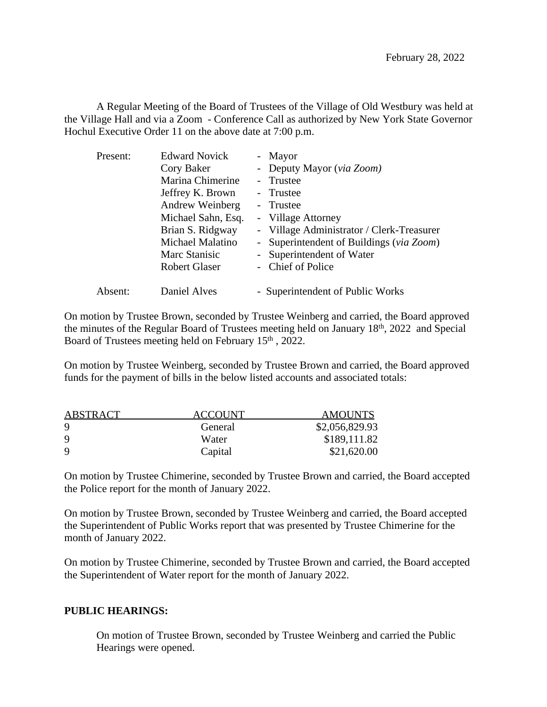A Regular Meeting of the Board of Trustees of the Village of Old Westbury was held at the Village Hall and via a Zoom - Conference Call as authorized by New York State Governor Hochul Executive Order 11 on the above date at 7:00 p.m.

| Present: | <b>Edward Novick</b> | - Mayor                                   |
|----------|----------------------|-------------------------------------------|
|          | Cory Baker           | - Deputy Mayor (via Zoom)                 |
|          | Marina Chimerine     | - Trustee                                 |
|          | Jeffrey K. Brown     | - Trustee                                 |
|          | Andrew Weinberg      | - Trustee                                 |
|          | Michael Sahn, Esq.   | - Village Attorney                        |
|          | Brian S. Ridgway     | - Village Administrator / Clerk-Treasurer |
|          | Michael Malatino     | - Superintendent of Buildings (via Zoom)  |
|          | Marc Stanisic        | - Superintendent of Water                 |
|          | <b>Robert Glaser</b> | - Chief of Police                         |
| Absent:  | Daniel Alves         | - Superintendent of Public Works          |

On motion by Trustee Brown, seconded by Trustee Weinberg and carried, the Board approved the minutes of the Regular Board of Trustees meeting held on January 18th, 2022 and Special Board of Trustees meeting held on February 15<sup>th</sup>, 2022.

On motion by Trustee Weinberg, seconded by Trustee Brown and carried, the Board approved funds for the payment of bills in the below listed accounts and associated totals:

| <b>ABSTRACT</b> | <b>ACCOUNT</b> | <b>AMOUNTS</b> |
|-----------------|----------------|----------------|
| 9               | General        | \$2,056,829.93 |
| 9               | Water          | \$189,111.82   |
| 9               | Capital        | \$21,620.00    |

On motion by Trustee Chimerine, seconded by Trustee Brown and carried, the Board accepted the Police report for the month of January 2022.

On motion by Trustee Brown, seconded by Trustee Weinberg and carried, the Board accepted the Superintendent of Public Works report that was presented by Trustee Chimerine for the month of January 2022.

On motion by Trustee Chimerine, seconded by Trustee Brown and carried, the Board accepted the Superintendent of Water report for the month of January 2022.

## **PUBLIC HEARINGS:**

On motion of Trustee Brown, seconded by Trustee Weinberg and carried the Public Hearings were opened.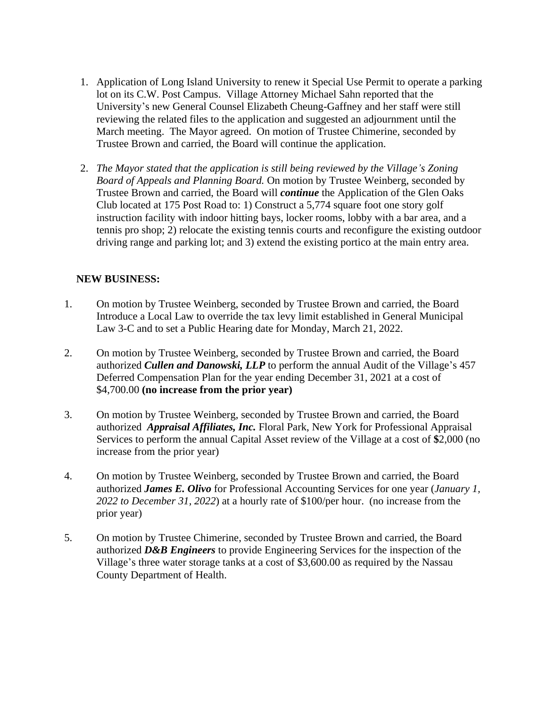- 1. Application of Long Island University to renew it Special Use Permit to operate a parking lot on its C.W. Post Campus. Village Attorney Michael Sahn reported that the University's new General Counsel Elizabeth Cheung-Gaffney and her staff were still reviewing the related files to the application and suggested an adjournment until the March meeting. The Mayor agreed. On motion of Trustee Chimerine, seconded by Trustee Brown and carried, the Board will continue the application.
- 2. *The Mayor stated that the application is still being reviewed by the Village's Zoning Board of Appeals and Planning Board.* On motion by Trustee Weinberg, seconded by Trustee Brown and carried, the Board will *continue* the Application of the Glen Oaks Club located at 175 Post Road to: 1) Construct a 5,774 square foot one story golf instruction facility with indoor hitting bays, locker rooms, lobby with a bar area, and a tennis pro shop; 2) relocate the existing tennis courts and reconfigure the existing outdoor driving range and parking lot; and 3) extend the existing portico at the main entry area.

## **NEW BUSINESS:**

- 1. On motion by Trustee Weinberg, seconded by Trustee Brown and carried, the Board Introduce a Local Law to override the tax levy limit established in General Municipal Law 3-C and to set a Public Hearing date for Monday, March 21, 2022.
- 2. On motion by Trustee Weinberg, seconded by Trustee Brown and carried, the Board authorized *Cullen and Danowski, LLP* to perform the annual Audit of the Village's 457 Deferred Compensation Plan for the year ending December 31, 2021 at a cost of \$4,700.00 **(no increase from the prior year)**
- 3. On motion by Trustee Weinberg, seconded by Trustee Brown and carried, the Board authorized *Appraisal Affiliates, Inc.* Floral Park, New York for Professional Appraisal Services to perform the annual Capital Asset review of the Village at a cost of **\$**2,000 (no increase from the prior year)
- 4. On motion by Trustee Weinberg, seconded by Trustee Brown and carried, the Board authorized *James E. Olivo* for Professional Accounting Services for one year (*January 1, 2022 to December 31, 2022*) at a hourly rate of \$100/per hour. (no increase from the prior year)
- 5. On motion by Trustee Chimerine, seconded by Trustee Brown and carried, the Board authorized *D&B Engineers* to provide Engineering Services for the inspection of the Village's three water storage tanks at a cost of \$3,600.00 as required by the Nassau County Department of Health.